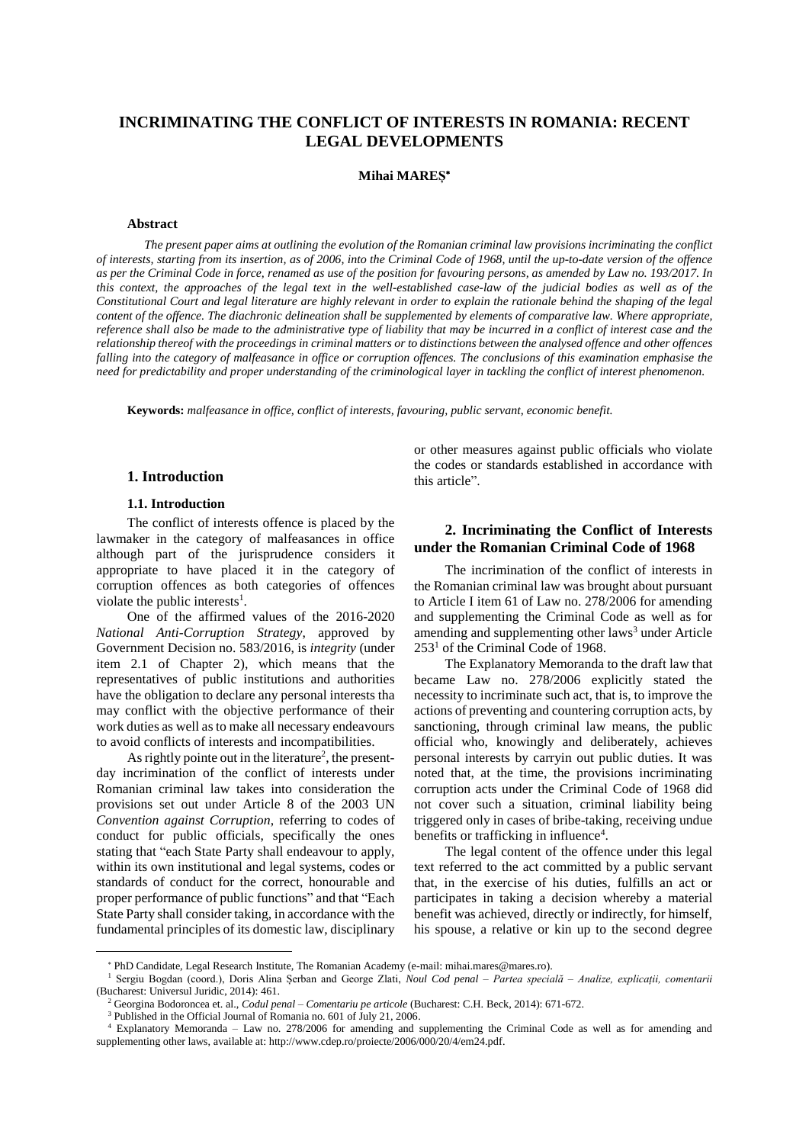# **INCRIMINATING THE CONFLICT OF INTERESTS IN ROMANIA: RECENT LEGAL DEVELOPMENTS**

### **Mihai MAREȘ**

#### **Abstract**

The present paper aims at outlining the evolution of the Romanian criminal law provisions incriminating the conflict of interests, starting from its insertion, as of 2006, into the Criminal Code of 1968, until the up-to-date version of the offence as per the Criminal Code in force, renamed as use of the position for favouring persons, as amended by Law no. 193/2017. In this context, the approaches of the legal text in the well-established case-law of the judicial bodies as well as of the Constitutional Court and legal literature are highly relevant in order to explain the rationale behind the shaping of the legal content of the offence. The diachronic delineation shall be supplemented by elements of comparative law. Where appropriate, reference shall also be made to the administrative type of liability that may be incurred in a conflict of interest case and the relationship thereof with the proceedings in criminal matters or to distinctions between the analysed offence and other offences falling into the category of malfeasance in office or corruption offences. The conclusions of this examination emphasise the need for predictability and proper understanding of the criminological layer in tackling the conflict of interest phenomenon.

**Keywords:** *malfeasance in office, conflict of interests, favouring, public servant, economic benefit.*

#### **1. Introduction**

#### **1.1. Introduction**

 $\overline{a}$ 

The conflict of interests offence is placed by the lawmaker in the category of malfeasances in office although part of the jurisprudence considers it appropriate to have placed it in the category of corruption offences as both categories of offences violate the public interests<sup>1</sup>.

One of the affirmed values of the 2016-2020 *National Anti-Corruption Strategy*, approved by Government Decision no. 583/2016, is *integrity* (under item 2.1 of Chapter 2), which means that the representatives of public institutions and authorities have the obligation to declare any personal interests tha may conflict with the objective performance of their work duties as well asto make all necessary endeavours to avoid conflicts of interests and incompatibilities.

As rightly pointe out in the literature<sup>2</sup>, the presentday incrimination of the conflict of interests under Romanian criminal law takes into consideration the provisions set out under Article 8 of the 2003 UN *Convention against Corruption*, referring to codes of conduct for public officials, specifically the ones stating that "each State Party shall endeavour to apply, within its own institutional and legal systems, codes or standards of conduct for the correct, honourable and proper performance of public functions" and that "Each State Party shall consider taking, in accordance with the fundamental principles of its domestic law, disciplinary

or other measures against public officials who violate the codes or standards established in accordance with this article".

## **2. Incriminating the Conflict of Interests under the Romanian Criminal Code of 1968**

The incrimination of the conflict of interests in the Romanian criminal law was brought about pursuant to Article I item 61 of Law no. 278/2006 for amending and supplementing the Criminal Code as well as for amending and supplementing other laws<sup>3</sup> under Article  $253<sup>1</sup>$  of the Criminal Code of 1968.

The Explanatory Memoranda to the draft law that became Law no. 278/2006 explicitly stated the necessity to incriminate such act, that is, to improve the actions of preventing and countering corruption acts, by sanctioning, through criminal law means, the public official who, knowingly and deliberately, achieves personal interests by carryin out public duties. It was noted that, at the time, the provisions incriminating corruption acts under the Criminal Code of 1968 did not cover such a situation, criminal liability being triggered only in cases of bribe-taking, receiving undue benefits or trafficking in influence<sup>4</sup>.

The legal content of the offence under this legal text referred to the act committed by a public servant that, in the exercise of his duties, fulfills an act or participates in taking a decision whereby a material benefit was achieved, directly or indirectly, for himself, his spouse, a relative or kin up to the second degree

PhD Candidate, Legal Research Institute, The Romanian Academy (e-mail: mihai.mares@mares.ro).

<sup>1</sup> Sergiu Bogdan (coord.), Doris Alina Șerban and George Zlati, *Noul Cod penal – Partea specială – Analize, explicații, comentarii* (Bucharest: Universul Juridic, 2014): 461.

<sup>2</sup> Georgina Bodoroncea et. al., *Codul penal – Comentariu pe articole* (Bucharest: C.H. Beck, 2014): 671-672.

<sup>&</sup>lt;sup>3</sup> Published in the Official Journal of Romania no. 601 of July 21, 2006.

<sup>4</sup> Explanatory Memoranda – Law no. 278/2006 for amending and supplementing the Criminal Code as well as for amending and supplementing other laws, available at: http://www.cdep.ro/proiecte/2006/000/20/4/em24.pdf.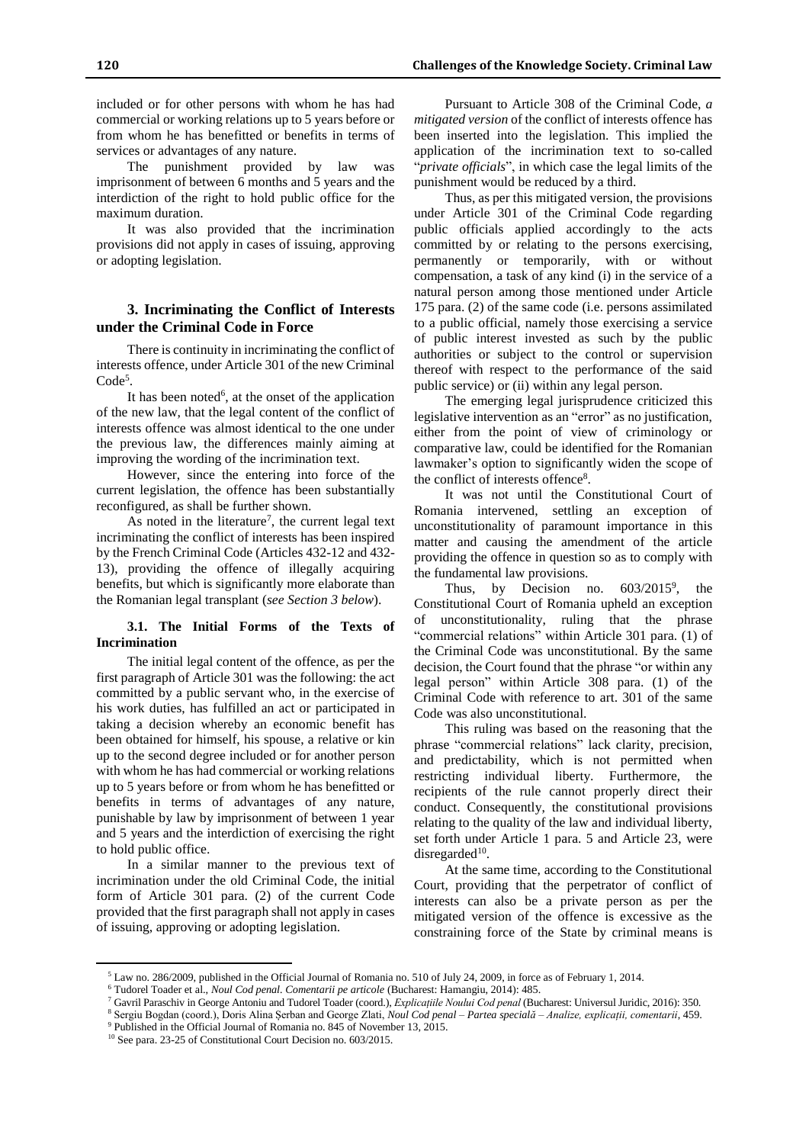included or for other persons with whom he has had commercial or working relations up to 5 years before or from whom he has benefitted or benefits in terms of services or advantages of any nature.

The punishment provided by law was imprisonment of between 6 months and 5 years and the interdiction of the right to hold public office for the maximum duration.

It was also provided that the incrimination provisions did not apply in cases of issuing, approving or adopting legislation.

## **3. Incriminating the Conflict of Interests under the Criminal Code in Force**

There is continuity in incriminating the conflict of interests offence, under Article 301 of the new Criminal Code<sup>5</sup>.

It has been noted<sup>6</sup>, at the onset of the application of the new law, that the legal content of the conflict of interests offence was almost identical to the one under the previous law, the differences mainly aiming at improving the wording of the incrimination text.

However, since the entering into force of the current legislation, the offence has been substantially reconfigured, as shall be further shown.

As noted in the literature<sup>7</sup>, the current legal text incriminating the conflict of interests has been inspired by the French Criminal Code (Articles 432-12 and 432- 13), providing the offence of illegally acquiring benefits, but which is significantly more elaborate than the Romanian legal transplant (*see Section 3 below*).

#### **3.1. The Initial Forms of the Texts of Incrimination**

The initial legal content of the offence, as per the first paragraph of Article 301 was the following: the act committed by a public servant who, in the exercise of his work duties, has fulfilled an act or participated in taking a decision whereby an economic benefit has been obtained for himself, his spouse, a relative or kin up to the second degree included or for another person with whom he has had commercial or working relations up to 5 years before or from whom he has benefitted or benefits in terms of advantages of any nature, punishable by law by imprisonment of between 1 year and 5 years and the interdiction of exercising the right to hold public office.

In a similar manner to the previous text of incrimination under the old Criminal Code, the initial form of Article 301 para. (2) of the current Code provided that the first paragraph shall not apply in cases of issuing, approving or adopting legislation.

 $\overline{a}$ 

Pursuant to Article 308 of the Criminal Code, *a mitigated version* of the conflict of interests offence has been inserted into the legislation. This implied the application of the incrimination text to so-called "*private officials*", in which case the legal limits of the punishment would be reduced by a third.

Thus, as per this mitigated version, the provisions under Article 301 of the Criminal Code regarding public officials applied accordingly to the acts committed by or relating to the persons exercising, permanently or temporarily, with or without compensation, a task of any kind (i) in the service of a natural person among those mentioned under Article 175 para. (2) of the same code (i.e. persons assimilated to a public official, namely those exercising a service of public interest invested as such by the public authorities or subject to the control or supervision thereof with respect to the performance of the said public service) or (ii) within any legal person.

The emerging legal jurisprudence criticized this legislative intervention as an "error" as no justification, either from the point of view of criminology or comparative law, could be identified for the Romanian lawmaker's option to significantly widen the scope of the conflict of interests offence<sup>8</sup>.

It was not until the Constitutional Court of Romania intervened, settling an exception of unconstitutionality of paramount importance in this matter and causing the amendment of the article providing the offence in question so as to comply with the fundamental law provisions.

Thus, by Decision no.  $603/2015^9$ , the Constitutional Court of Romania upheld an exception of unconstitutionality, ruling that the phrase "commercial relations" within Article 301 para. (1) of the Criminal Code was unconstitutional. By the same decision, the Court found that the phrase "or within any legal person" within Article 308 para. (1) of the Criminal Code with reference to art. 301 of the same Code was also unconstitutional.

This ruling was based on the reasoning that the phrase "commercial relations" lack clarity, precision, and predictability, which is not permitted when restricting individual liberty. Furthermore, the recipients of the rule cannot properly direct their conduct. Consequently, the constitutional provisions relating to the quality of the law and individual liberty, set forth under Article 1 para. 5 and Article 23, were disregarded $10$ .

At the same time, according to the Constitutional Court, providing that the perpetrator of conflict of interests can also be a private person as per the mitigated version of the offence is excessive as the constraining force of the State by criminal means is

 $5$  Law no. 286/2009, published in the Official Journal of Romania no. 510 of July 24, 2009, in force as of February 1, 2014.

<sup>6</sup> Tudorel Toader et al., *Noul Cod penal. Comentarii pe articole* (Bucharest: Hamangiu, 2014): 485.

<sup>7</sup> Gavril Paraschiv in George Antoniu and Tudorel Toader (coord.), *Explicațiile Noului Cod penal* (Bucharest: Universul Juridic, 2016): 350.

<sup>8</sup> Sergiu Bogdan (coord.), Doris Alina Șerban and George Zlati, *Noul Cod penal – Partea specială – Analize, explicații, comentarii*, 459.

<sup>9</sup> Published in the Official Journal of Romania no. 845 of November 13, 2015.

<sup>10</sup> See para. 23-25 of Constitutional Court Decision no. 603/2015.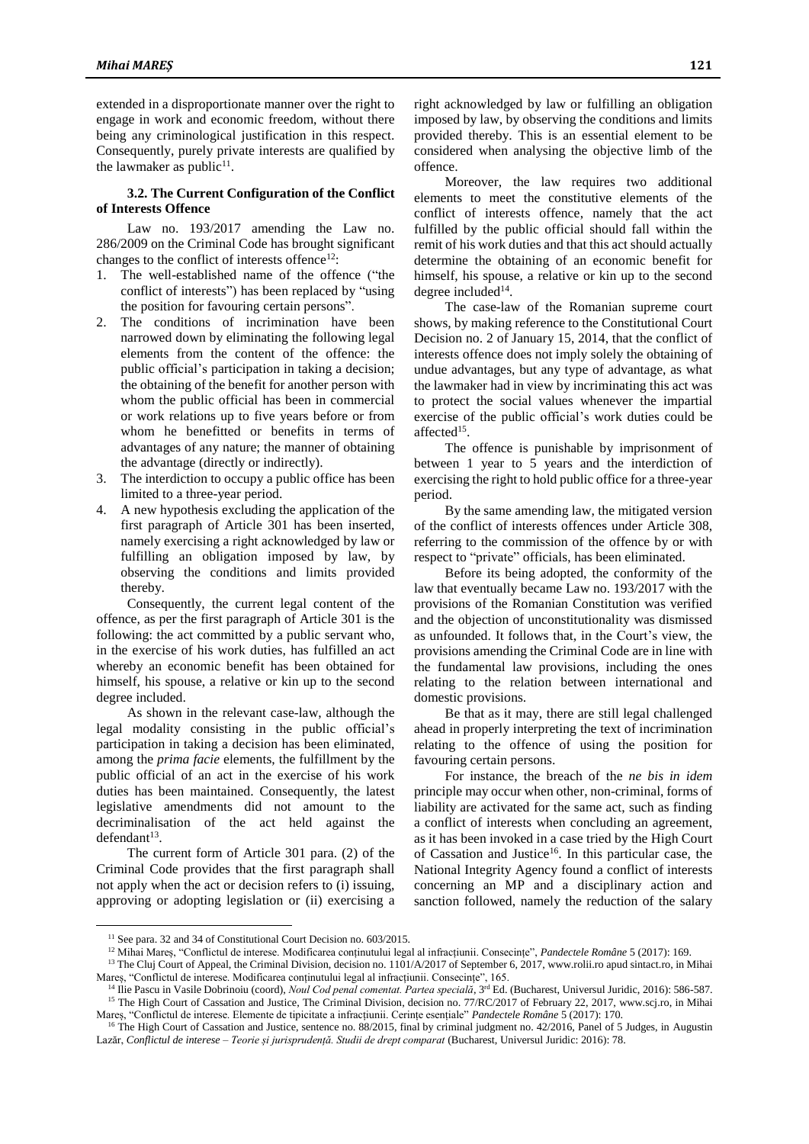extended in a disproportionate manner over the right to engage in work and economic freedom, without there being any criminological justification in this respect. Consequently, purely private interests are qualified by the lawmaker as public $11$ .

#### **3.2. The Current Configuration of the Conflict of Interests Offence**

Law no. 193/2017 amending the Law no. 286/2009 on the Criminal Code has brought significant changes to the conflict of interests offence<sup>12</sup>:

- 1. The well-established name of the offence ("the conflict of interests") has been replaced by "using the position for favouring certain persons".
- 2. The conditions of incrimination have been narrowed down by eliminating the following legal elements from the content of the offence: the public official's participation in taking a decision; the obtaining of the benefit for another person with whom the public official has been in commercial or work relations up to five years before or from whom he benefitted or benefits in terms of advantages of any nature; the manner of obtaining the advantage (directly or indirectly).
- 3. The interdiction to occupy a public office has been limited to a three-year period.
- 4. A new hypothesis excluding the application of the first paragraph of Article 301 has been inserted, namely exercising a right acknowledged by law or fulfilling an obligation imposed by law, by observing the conditions and limits provided thereby.

Consequently, the current legal content of the offence, as per the first paragraph of Article 301 is the following: the act committed by a public servant who, in the exercise of his work duties, has fulfilled an act whereby an economic benefit has been obtained for himself, his spouse, a relative or kin up to the second degree included.

As shown in the relevant case-law, although the legal modality consisting in the public official's participation in taking a decision has been eliminated, among the *prima facie* elements, the fulfillment by the public official of an act in the exercise of his work duties has been maintained. Consequently, the latest legislative amendments did not amount to the decriminalisation of the act held against the  $d$ efendant $^{13}$ .

The current form of Article 301 para. (2) of the Criminal Code provides that the first paragraph shall not apply when the act or decision refers to (i) issuing, approving or adopting legislation or (ii) exercising a

 $\overline{a}$ 

right acknowledged by law or fulfilling an obligation imposed by law, by observing the conditions and limits provided thereby. This is an essential element to be considered when analysing the objective limb of the offence.

Moreover, the law requires two additional elements to meet the constitutive elements of the conflict of interests offence, namely that the act fulfilled by the public official should fall within the remit of his work duties and that this act should actually determine the obtaining of an economic benefit for himself, his spouse, a relative or kin up to the second degree included<sup>14</sup>.

The case-law of the Romanian supreme court shows, by making reference to the Constitutional Court Decision no. 2 of January 15, 2014, that the conflict of interests offence does not imply solely the obtaining of undue advantages, but any type of advantage, as what the lawmaker had in view by incriminating this act was to protect the social values whenever the impartial exercise of the public official's work duties could be affected<sup>15</sup>.

The offence is punishable by imprisonment of between 1 year to 5 years and the interdiction of exercising the right to hold public office for a three-year period.

By the same amending law, the mitigated version of the conflict of interests offences under Article 308, referring to the commission of the offence by or with respect to "private" officials, has been eliminated.

Before its being adopted, the conformity of the law that eventually became Law no. 193/2017 with the provisions of the Romanian Constitution was verified and the objection of unconstitutionality was dismissed as unfounded. It follows that, in the Court's view, the provisions amending the Criminal Code are in line with the fundamental law provisions, including the ones relating to the relation between international and domestic provisions.

Be that as it may, there are still legal challenged ahead in properly interpreting the text of incrimination relating to the offence of using the position for favouring certain persons.

For instance, the breach of the *ne bis in idem* principle may occur when other, non-criminal, forms of liability are activated for the same act, such as finding a conflict of interests when concluding an agreement, as it has been invoked in a case tried by the High Court of Cassation and Justice<sup>16</sup>. In this particular case, the National Integrity Agency found a conflict of interests concerning an MP and a disciplinary action and sanction followed, namely the reduction of the salary

<sup>&</sup>lt;sup>11</sup> See para. 32 and 34 of Constitutional Court Decision no. 603/2015.

<sup>12</sup> Mihai Mareș, "Conflictul de interese. Modificarea conținutului legal al infracțiunii. Consecințe", *Pandectele Române* 5 (2017): 169.

<sup>&</sup>lt;sup>13</sup> The Cluj Court of Appeal, the Criminal Division, decision no. 1101/A/2017 of September 6, 2017, www.rolii.ro apud sintact.ro, in Mihai Mareș, "Conflictul de interese. Modificarea conținutului legal al infracțiunii. Consecințe", 165.

<sup>&</sup>lt;sup>14</sup> Ilie Pascu in Vasile Dobrinoiu (coord), *Noul Cod penal comentat. Partea specială*, <sup>3rd</sup> Ed. (Bucharest, Universul Juridic, 2016): 586-587. <sup>15</sup> The High Court of Cassation and Justice, The Criminal Division, decision no. 77/RC/2017 of February 22, 2017, www.scj.ro, in Mihai Mareș, "Conflictul de interese. Elemente de tipicitate a infracțiunii. Cerințe esențiale" *Pandectele Române* 5 (2017): 170.

<sup>&</sup>lt;sup>16</sup> The High Court of Cassation and Justice, sentence no. 88/2015, final by criminal judgment no. 42/2016, Panel of 5 Judges, in Augustin Lazăr, *Conflictul de interese – Teorie și jurisprudență. Studii de drept comparat* (Bucharest, Universul Juridic: 2016): 78.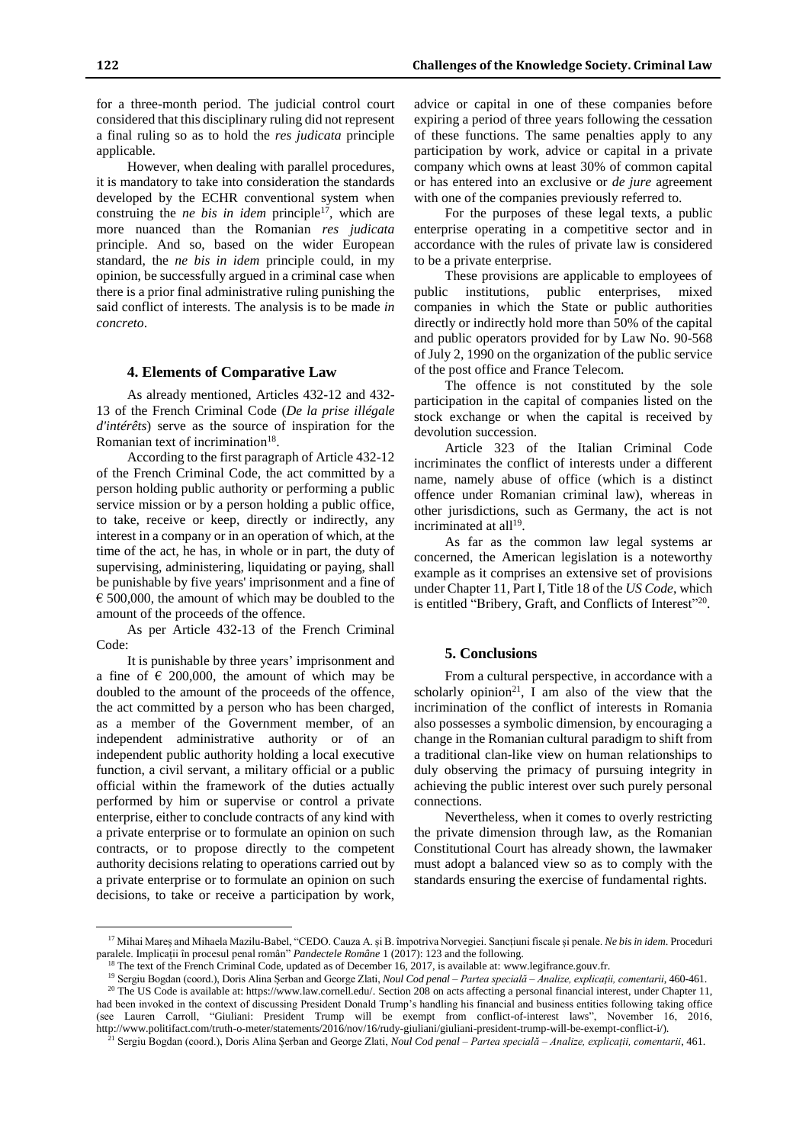for a three-month period. The judicial control court considered that this disciplinary ruling did not represent a final ruling so as to hold the *res judicata* principle applicable.

However, when dealing with parallel procedures, it is mandatory to take into consideration the standards developed by the ECHR conventional system when construing the *ne bis in idem* principle<sup>17</sup>, which are more nuanced than the Romanian *res judicata* principle. And so, based on the wider European standard, the *ne bis in idem* principle could, in my opinion, be successfully argued in a criminal case when there is a prior final administrative ruling punishing the said conflict of interests. The analysis is to be made *in concreto*.

#### **4. Elements of Comparative Law**

As already mentioned, Articles 432-12 and 432- 13 of the French Criminal Code (*De la prise illégale d'intérêts*) serve as the source of inspiration for the Romanian text of incrimination<sup>18</sup>.

According to the first paragraph of Article 432-12 of the French Criminal Code, the act committed by a person holding public authority or performing a public service mission or by a person holding a public office, to take, receive or keep, directly or indirectly, any interest in a company or in an operation of which, at the time of the act, he has, in whole or in part, the duty of supervising, administering, liquidating or paying, shall be punishable by five years' imprisonment and a fine of  $\epsilon$  500,000, the amount of which may be doubled to the amount of the proceeds of the offence.

As per Article 432-13 of the French Criminal Code:

It is punishable by three years' imprisonment and a fine of  $\epsilon$  200,000, the amount of which may be doubled to the amount of the proceeds of the offence, the act committed by a person who has been charged, as a member of the Government member, of an independent administrative authority or of an independent public authority holding a local executive function, a civil servant, a military official or a public official within the framework of the duties actually performed by him or supervise or control a private enterprise, either to conclude contracts of any kind with a private enterprise or to formulate an opinion on such contracts, or to propose directly to the competent authority decisions relating to operations carried out by a private enterprise or to formulate an opinion on such decisions, to take or receive a participation by work,

 $\overline{a}$ 

advice or capital in one of these companies before expiring a period of three years following the cessation of these functions. The same penalties apply to any participation by work, advice or capital in a private company which owns at least 30% of common capital or has entered into an exclusive or *de jure* agreement with one of the companies previously referred to.

For the purposes of these legal texts, a public enterprise operating in a competitive sector and in accordance with the rules of private law is considered to be a private enterprise.

These provisions are applicable to employees of public institutions, public enterprises, mixed companies in which the State or public authorities directly or indirectly hold more than 50% of the capital and public operators provided for by Law No. 90-568 of July 2, 1990 on the organization of the public service of the post office and France Telecom.

The offence is not constituted by the sole participation in the capital of companies listed on the stock exchange or when the capital is received by devolution succession.

Article 323 of the Italian Criminal Code incriminates the conflict of interests under a different name, namely abuse of office (which is a distinct offence under Romanian criminal law), whereas in other jurisdictions, such as Germany, the act is not incriminated at all<sup>19</sup>.

As far as the common law legal systems ar concerned, the American legislation is a noteworthy example as it comprises an extensive set of provisions under Chapter 11, Part I, Title 18 of the *US Code*, which is entitled "Bribery, Graft, and Conflicts of Interest"<sup>20</sup>.

## **5. Conclusions**

From a cultural perspective, in accordance with a scholarly opinion<sup>21</sup>, I am also of the view that the incrimination of the conflict of interests in Romania also possesses a symbolic dimension, by encouraging a change in the Romanian cultural paradigm to shift from a traditional clan-like view on human relationships to duly observing the primacy of pursuing integrity in achieving the public interest over such purely personal connections.

Nevertheless, when it comes to overly restricting the private dimension through law, as the Romanian Constitutional Court has already shown, the lawmaker must adopt a balanced view so as to comply with the standards ensuring the exercise of fundamental rights.

<sup>17</sup> Mihai Mareș and Mihaela Mazilu-Babel, "CEDO. Cauza A. și B. împotriva Norvegiei. Sancțiuni fiscale și penale. *Ne bis in idem*. Proceduri paralele. Implicații în procesul penal român" *Pandectele Române* 1 (2017): 123 and the following.

<sup>&</sup>lt;sup>18</sup> The text of the French Criminal Code, updated as of December 16, 2017, is available at: www.legifrance.gouv.fr.

<sup>19</sup> Sergiu Bogdan (coord.), Doris Alina Șerban and George Zlati, *Noul Cod penal – Partea specială – Analize, explicații, comentarii*, 460-461.

<sup>&</sup>lt;sup>20</sup> The US Code is available at: https://www.law.cornell.edu/. Section 208 on acts affecting a personal financial interest, under Chapter 11, had been invoked in the context of discussing President Donald Trump's handling his financial and business entities following taking office (see Lauren Carroll, "Giuliani: President Trump will be exempt from conflict-of-interest laws", November 16, 2016, http://www.politifact.com/truth-o-meter/statements/2016/nov/16/rudy-giuliani/giuliani-president-trump-will-be-exempt-conflict-i/).

<sup>21</sup> Sergiu Bogdan (coord.), Doris Alina Șerban and George Zlati, *Noul Cod penal – Partea specială – Analize, explicații, comentarii*, 461.